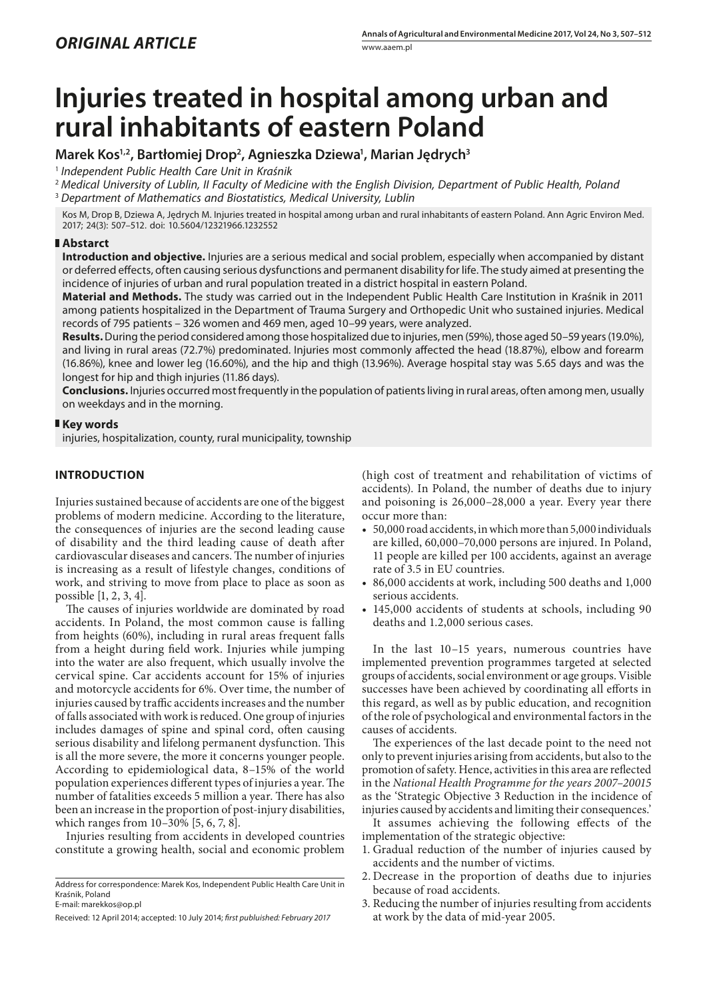# **Injuries treated in hospital among urban and rural inhabitants of eastern Poland**

# **Marek Kos1,2, Bartłomiej Drop2 , Agnieszka Dziewa1 , Marian Jędrych3**

<sup>1</sup> *Independent Public Health Care Unit in Kraśnik*

<sup>2</sup> *Medical University of Lublin, II Faculty of Medicine with the English Division, Department of Public Health, Poland* <sup>3</sup> *Department of Mathematics and Biostatistics, Medical University, Lublin*

Kos M, Drop B, Dziewa A, Jędrych M. Injuries treated in hospital among urban and rural inhabitants of eastern Poland. Ann Agric Environ Med. 2017; 24(3): 507–512. doi: 10.5604/12321966.1232552

## **Abstarct**

**Introduction and objective.** Injuries are a serious medical and social problem, especially when accompanied by distant or deferred effects, often causing serious dysfunctions and permanent disability for life. The study aimed at presenting the incidence of injuries of urban and rural population treated in a district hospital in eastern Poland.

**Material and Methods.** The study was carried out in the Independent Public Health Care Institution in Kraśnik in 2011 among patients hospitalized in the Department of Trauma Surgery and Orthopedic Unit who sustained injuries. Medical records of 795 patients – 326 women and 469 men, aged 10–99 years, were analyzed.

**Results.** During the period considered among those hospitalized due to injuries, men (59%), those aged 50–59 years (19.0%), and living in rural areas (72.7%) predominated. Injuries most commonly affected the head (18.87%), elbow and forearm (16.86%), knee and lower leg (16.60%), and the hip and thigh (13.96%). Average hospital stay was 5.65 days and was the longest for hip and thigh injuries (11.86 days).

**Conclusions.** Injuries occurred most frequently in the population of patients living in rural areas, often among men, usually on weekdays and in the morning.

## **Key words**

injuries, hospitalization, county, rural municipality, township

# **INTRODUCTION**

Injuries sustained because of accidents are one of the biggest problems of modern medicine. According to the literature, the consequences of injuries are the second leading cause of disability and the third leading cause of death after cardiovascular diseases and cancers. The number of injuries is increasing as a result of lifestyle changes, conditions of work, and striving to move from place to place as soon as possible [1, 2, 3, 4].

The causes of injuries worldwide are dominated by road accidents. In Poland, the most common cause is falling from heights (60%), including in rural areas frequent falls from a height during field work. Injuries while jumping into the water are also frequent, which usually involve the cervical spine. Car accidents account for 15% of injuries and motorcycle accidents for 6%. Over time, the number of injuries caused by traffic accidents increases and the number of falls associated with work is reduced. One group of injuries includes damages of spine and spinal cord, often causing serious disability and lifelong permanent dysfunction. This is all the more severe, the more it concerns younger people. According to epidemiological data, 8–15% of the world population experiences different types of injuries a year. The number of fatalities exceeds 5 million a year. There has also been an increase in the proportion of post-injury disabilities, which ranges from 10–30% [5, 6, 7, 8].

Injuries resulting from accidents in developed countries constitute a growing health, social and economic problem

Received: 12 April 2014; accepted: 10 July 2014; *first publuished: February 2017*

(high cost of treatment and rehabilitation of victims of accidents). In Poland, the number of deaths due to injury and poisoning is 26,000–28,000 a year. Every year there occur more than:

- 50,000 road accidents, in which more than 5,000 individuals are killed, 60,000–70,000 persons are injured. In Poland, 11 people are killed per 100 accidents, against an average rate of 3.5 in EU countries.
- 86,000 accidents at work, including 500 deaths and 1,000 serious accidents.
- • 145,000 accidents of students at schools, including 90 deaths and 1.2,000 serious cases.

In the last 10–15 years, numerous countries have implemented prevention programmes targeted at selected groups of accidents, social environment or age groups. Visible successes have been achieved by coordinating all efforts in this regard, as well as by public education, and recognition of the role of psychological and environmental factors in the causes of accidents.

The experiences of the last decade point to the need not only to prevent injuries arising from accidents, but also to the promotion of safety. Hence, activities in this area are reflected in the *National Health Programme for the years 2007–20015* as the 'Strategic Objective 3 Reduction in the incidence of injuries caused by accidents and limiting their consequences.'

It assumes achieving the following effects of the implementation of the strategic objective:

- 1. Gradual reduction of the number of injuries caused by accidents and the number of victims.
- 2. Decrease in the proportion of deaths due to injuries because of road accidents.
- 3. Reducing the number of injuries resulting from accidents at work by the data of mid-year 2005.

Address for correspondence: Marek Kos, Independent Public Health Care Unit in Kraśnik, Poland E-mail: [marekkos@op.pl](mailto:marekkos@op.pl)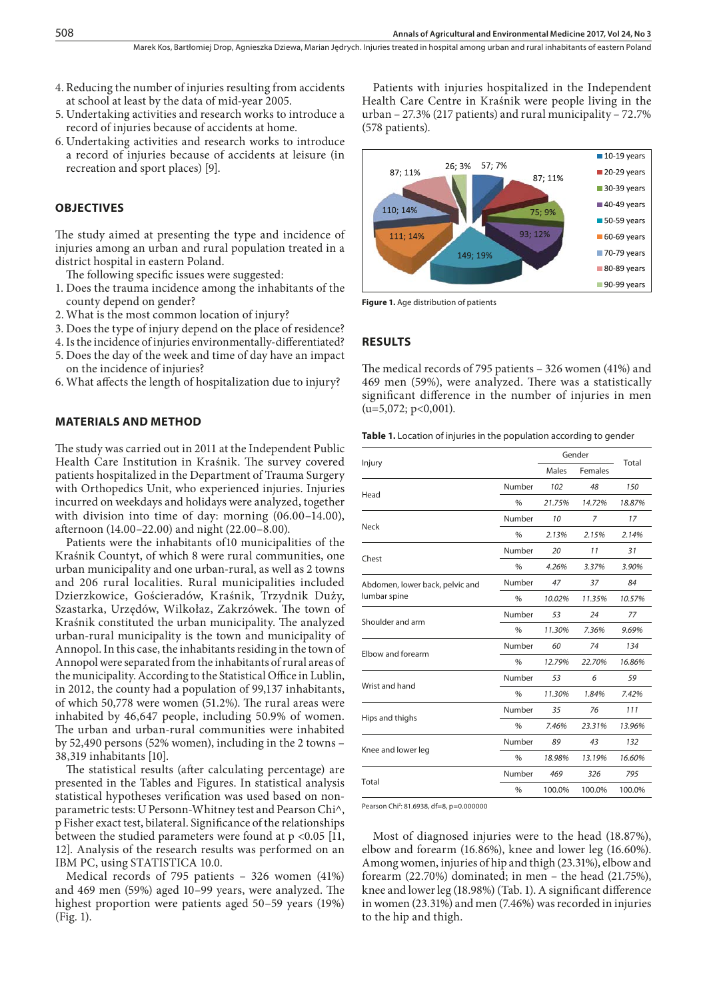- 4. Reducing the number of injuries resulting from accidents at school at least by the data of mid-year 2005.
- 5. Undertaking activities and research works to introduce a record of injuries because of accidents at home.
- 6. Undertaking activities and research works to introduce a record of injuries because of accidents at leisure (in recreation and sport places) [9].

### **OBJECTIVES**

The study aimed at presenting the type and incidence of injuries among an urban and rural population treated in a district hospital in eastern Poland.

The following specific issues were suggested:

- 1. Does the trauma incidence among the inhabitants of the county depend on gender?
- 2. What is the most common location of injury?
- 3. Does the type of injury depend on the place of residence?
- 4. Is the incidence of injuries environmentally-differentiated?
- 5. Does the day of the week and time of day have an impact on the incidence of injuries?
- 6. What affects the length of hospitalization due to injury?

#### **MATERIALS AND METHOD**

The study was carried out in 2011 at the Independent Public Health Care Institution in Kraśnik. The survey covered patients hospitalized in the Department of Trauma Surgery with Orthopedics Unit, who experienced injuries. Injuries incurred on weekdays and holidays were analyzed, together with division into time of day: morning (06.00–14.00), afternoon (14.00–22.00) and night (22.00–8.00).

Patients were the inhabitants of10 municipalities of the Kraśnik Countyt, of which 8 were rural communities, one urban municipality and one urban-rural, as well as 2 towns and 206 rural localities. Rural municipalities included Dzierzkowice, Gościeradów, Kraśnik, Trzydnik Duży, Szastarka, Urzędów, Wilkołaz, Zakrzówek. The town of Kraśnik constituted the urban municipality. The analyzed urban-rural municipality is the town and municipality of Annopol. In this case, the inhabitants residing in the town of Annopol were separated from the inhabitants of rural areas of the municipality. According to the Statistical Office in Lublin, in 2012, the county had a population of 99,137 inhabitants, of which 50,778 were women (51.2%). The rural areas were inhabited by 46,647 people, including 50.9% of women. The urban and urban-rural communities were inhabited by 52,490 persons (52% women), including in the 2 towns – 38,319 inhabitants [10].

The statistical results (after calculating percentage) are presented in the Tables and Figures. In statistical analysis statistical hypotheses verification was used based on nonparametric tests: U Personn-Whitney test and Pearson Chi^, p Fisher exact test, bilateral. Significance of the relationships between the studied parameters were found at p <0.05 [11, 12]. Analysis of the research results was performed on an IBM PC, using STATISTICA 10.0.

Medical records of 795 patients – 326 women (41%) and 469 men (59%) aged 10–99 years, were analyzed. The highest proportion were patients aged 50–59 years (19%) (Fig. 1).

Patients with injuries hospitalized in the Independent Health Care Centre in Kraśnik were people living in the urban – 27.3% (217 patients) and rural municipality – 72.7% (578 patients).



**Figure 1.** Age distribution of patients

#### **RESULTS**

The medical records of 795 patients – 326 women (41%) and 469 men (59%), were analyzed. There was a statistically significant difference in the number of injuries in men  $(u=5,072; p<0,001)$ .

**Table 1.** Location of injuries in the population according to gender

|                                                 |               | Gender |                |        |  |
|-------------------------------------------------|---------------|--------|----------------|--------|--|
| Injury                                          |               | Males  | <b>Females</b> | Total  |  |
| Head                                            | Number        | 102    | 48             | 150    |  |
|                                                 | $\%$          | 21.75% | 14.72%         | 18.87% |  |
| Neck                                            | Number        | 10     | 7              | 17     |  |
|                                                 | $\%$          | 2.13%  | 2.15%          | 2.14%  |  |
| Chest                                           | Number        | 20     | 11             | 31     |  |
|                                                 | $\%$          | 4.26%  | 3.37%          | 3.90%  |  |
| Abdomen, lower back, pelvic and<br>lumbar spine | Number        | 47     | 37             | 84     |  |
|                                                 | $\%$          | 10.02% | 11.35%         | 10.57% |  |
| Shoulder and arm                                | Number        | 53     | 24             | 77     |  |
|                                                 | $\%$          | 11.30% | 7.36%          | 9.69%  |  |
| Elbow and forearm                               | Number        | 60     | 74             | 134    |  |
|                                                 | $\%$          | 12.79% | 22.70%         | 16.86% |  |
| Wrist and hand                                  | Number        | 53     | 6              | 59     |  |
|                                                 | $\frac{0}{n}$ | 11.30% | 1.84%          | 7.42%  |  |
| Hips and thighs                                 | Number        | 35     | 76             | 111    |  |
|                                                 | $\%$          | 7.46%  | 23.31%         | 13.96% |  |
| Knee and lower leg                              | Number        | 89     | 43             | 132    |  |
|                                                 | $\%$          | 18.98% | 13.19%         | 16.60% |  |
|                                                 | Number        | 469    | 326            | 795    |  |
| Total                                           | $\frac{0}{0}$ | 100.0% | 100.0%         | 100.0% |  |

Pearson Chi2 : 81.6938, df=8, p=0.000000

Most of diagnosed injuries were to the head (18.87%), elbow and forearm (16.86%), knee and lower leg (16.60%). Among women, injuries of hip and thigh (23.31%), elbow and forearm (22.70%) dominated; in men – the head (21.75%), knee and lower leg (18.98%) (Tab. 1). A significant difference in women (23.31%) and men (7.46%) was recorded in injuries to the hip and thigh.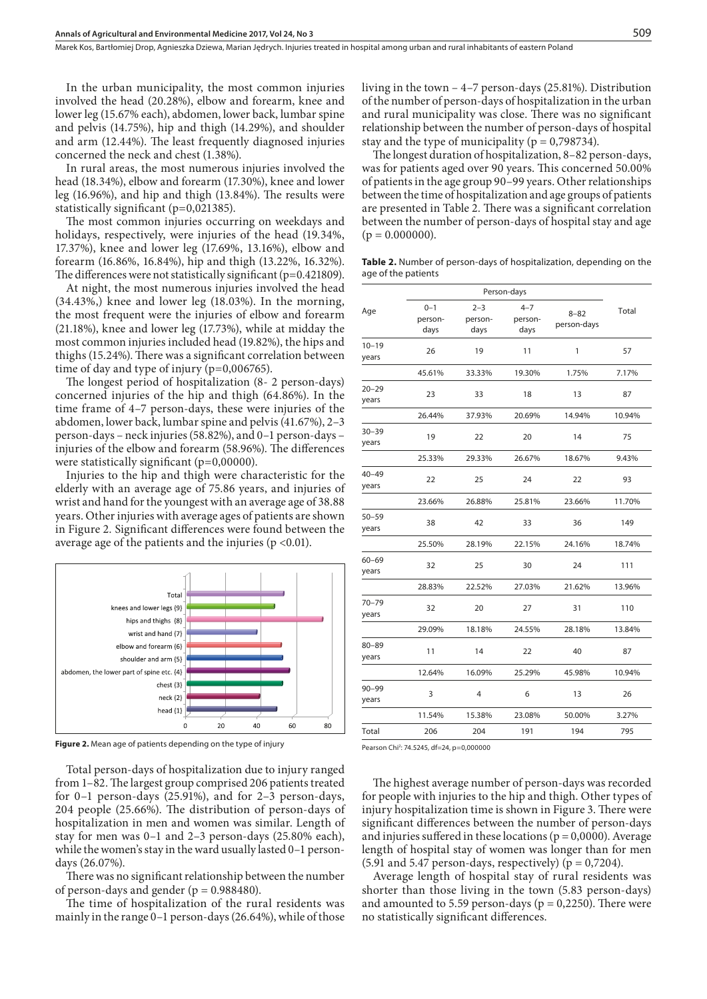In the urban municipality, the most common injuries involved the head (20.28%), elbow and forearm, knee and lower leg (15.67% each), abdomen, lower back, lumbar spine and pelvis (14.75%), hip and thigh (14.29%), and shoulder and arm (12.44%). The least frequently diagnosed injuries concerned the neck and chest (1.38%).

In rural areas, the most numerous injuries involved the head (18.34%), elbow and forearm (17.30%), knee and lower leg (16.96%), and hip and thigh (13.84%). The results were statistically significant (p=0,021385).

The most common injuries occurring on weekdays and holidays, respectively, were injuries of the head (19.34%, 17.37%), knee and lower leg (17.69%, 13.16%), elbow and forearm (16.86%, 16.84%), hip and thigh (13.22%, 16.32%). The differences were not statistically significant  $(p=0.421809)$ .

At night, the most numerous injuries involved the head (34.43%,) knee and lower leg (18.03%). In the morning, the most frequent were the injuries of elbow and forearm (21.18%), knee and lower leg (17.73%), while at midday the most common injuries included head (19.82%), the hips and thighs (15.24%). There was a significant correlation between time of day and type of injury (p=0,006765).

The longest period of hospitalization (8- 2 person-days) concerned injuries of the hip and thigh (64.86%). In the time frame of 4–7 person-days, these were injuries of the abdomen, lower back, lumbar spine and pelvis (41.67%), 2–3 person-days – neck injuries (58.82%), and 0–1 person-days – injuries of the elbow and forearm (58.96%). The differences were statistically significant  $(p=0,00000)$ .

Injuries to the hip and thigh were characteristic for the elderly with an average age of 75.86 years, and injuries of wrist and hand for the youngest with an average age of 38.88 years. Other injuries with average ages of patients are shown in Figure 2*.* Significant differences were found between the average age of the patients and the injuries ( $p < 0.01$ ).



**Figure 2.** Mean age of patients depending on the type of injury

Total person-days of hospitalization due to injury ranged from 1–82. The largest group comprised 206 patients treated for 0–1 person-days (25.91%), and for 2–3 person-days, 204 people (25.66%). The distribution of person-days of hospitalization in men and women was similar. Length of stay for men was 0–1 and 2–3 person-days (25.80% each), while the women's stay in the ward usually lasted 0–1 persondays (26.07%).

There was no significant relationship between the number of person-days and gender ( $p = 0.988480$ ).

The time of hospitalization of the rural residents was mainly in the range 0–1 person-days (26.64%), while of those living in the town – 4–7 person-days (25.81%). Distribution of the number of person-days of hospitalization in the urban and rural municipality was close. There was no significant relationship between the number of person-days of hospital stay and the type of municipality ( $p = 0.798734$ ).

The longest duration of hospitalization, 8–82 person-days, was for patients aged over 90 years. This concerned 50.00% of patients in the age group 90–99 years. Other relationships between the time of hospitalization and age groups of patients are presented in Table 2*.* There was a significant correlation between the number of person-days of hospital stay and age  $(p = 0.000000)$ .

**Table 2.** Number of person-days of hospitalization, depending on the age of the patients

|                    |                            | Person-days                |                            |                         |        |  |  |
|--------------------|----------------------------|----------------------------|----------------------------|-------------------------|--------|--|--|
| Age                | $0 - 1$<br>person-<br>days | $2 - 3$<br>person-<br>days | $4 - 7$<br>person-<br>days | $8 - 82$<br>person-days | Total  |  |  |
| $10 - 19$<br>years | 26                         | 19                         | 11                         | 1                       | 57     |  |  |
|                    | 45.61%                     | 33.33%                     | 19.30%                     | 1.75%                   | 7.17%  |  |  |
| $20 - 29$<br>years | 23                         | 33                         | 18                         | 13                      | 87     |  |  |
|                    | 26.44%                     | 37.93%                     | 20.69%                     | 14.94%                  | 10.94% |  |  |
| $30 - 39$<br>years | 19                         | 22                         | 20                         | 14                      | 75     |  |  |
|                    | 25.33%                     | 29.33%                     | 26.67%                     | 18.67%                  | 9.43%  |  |  |
| $40 - 49$<br>years | 22                         | 25                         | 24                         | 22                      | 93     |  |  |
|                    | 23.66%                     | 26.88%                     | 25.81%                     | 23.66%                  | 11.70% |  |  |
| $50 - 59$<br>years | 38                         | 42                         | 33                         | 36                      | 149    |  |  |
|                    | 25.50%                     | 28.19%                     | 22.15%                     | 24.16%                  | 18.74% |  |  |
| $60 - 69$<br>years | 32                         | 25                         | 30                         | 24                      | 111    |  |  |
|                    | 28.83%                     | 22.52%                     | 27.03%                     | 21.62%                  | 13.96% |  |  |
| $70 - 79$<br>years | 32                         | 20                         | 27                         | 31                      | 110    |  |  |
|                    | 29.09%                     | 18.18%                     | 24.55%                     | 28.18%                  | 13.84% |  |  |
| $80 - 89$<br>years | 11                         | 14                         | 22                         | 40                      | 87     |  |  |
|                    | 12.64%                     | 16.09%                     | 25.29%                     | 45.98%                  | 10.94% |  |  |
| $90 - 99$<br>years | 3                          | 4                          | 6                          | 13                      | 26     |  |  |
|                    | 11.54%                     | 15.38%                     | 23.08%                     | 50.00%                  | 3.27%  |  |  |
| Total              | 206                        | 204                        | 191                        | 194                     | 795    |  |  |
|                    |                            |                            |                            |                         |        |  |  |

Pearson Chi<sup>2</sup>: 74.5245, df=24, p=0,000000

The highest average number of person-days was recorded for people with injuries to the hip and thigh. Other types of injury hospitalization time is shown in Figure 3. There were significant differences between the number of person-days and injuries suffered in these locations ( $p = 0,0000$ ). Average length of hospital stay of women was longer than for men (5.91 and 5.47 person-days, respectively) ( $p = 0,7204$ ).

Average length of hospital stay of rural residents was shorter than those living in the town (5.83 person-days) and amounted to 5.59 person-days ( $p = 0,2250$ ). There were no statistically significant differences.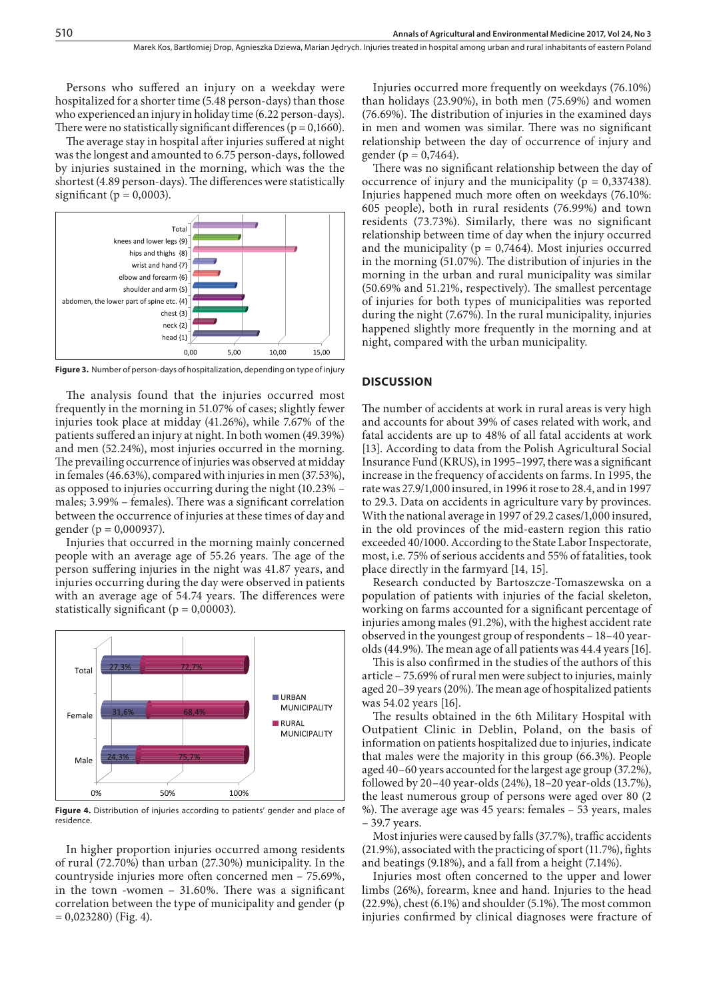Persons who suffered an injury on a weekday were hospitalized for a shorter time (5.48 person-days) than those who experienced an injury in holiday time (6.22 person-days). There were no statistically significant differences ( $p = 0,1660$ ).

The average stay in hospital after injuries suffered at night was the longest and amounted to 6.75 person-days, followed by injuries sustained in the morning, which was the the shortest (4.89 person-days). The differences were statistically significant ( $p = 0,0003$ ).



**Figure 3.** Number of person-days of hospitalization, depending on type of injury

The analysis found that the injuries occurred most frequently in the morning in 51.07% of cases; slightly fewer injuries took place at midday (41.26%), while 7.67% of the patients suffered an injury at night. In both women (49.39%) and men (52.24%), most injuries occurred in the morning. The prevailing occurrence of injuries was observed at midday in females (46.63%), compared with injuries in men (37.53%), as opposed to injuries occurring during the night (10.23% – males; 3.99% – females). There was a significant correlation between the occurrence of injuries at these times of day and gender (p = 0,000937).

Injuries that occurred in the morning mainly concerned people with an average age of 55.26 years. The age of the person suffering injuries in the night was 41.87 years, and injuries occurring during the day were observed in patients with an average age of 54.74 years. The differences were statistically significant ( $p = 0,00003$ ).



**Figure 4.** Distribution of injuries according to patients' gender and place of residence.

In higher proportion injuries occurred among residents of rural (72.70%) than urban (27.30%) municipality. In the countryside injuries more often concerned men – 75.69%, in the town -women – 31.60%. There was a significant correlation between the type of municipality and gender (p  $= 0,023280$  (Fig. 4).

Injuries occurred more frequently on weekdays (76.10%) than holidays (23.90%), in both men (75.69%) and women (76.69%). The distribution of injuries in the examined days in men and women was similar. There was no significant relationship between the day of occurrence of injury and gender ( $p = 0,7464$ ).

There was no significant relationship between the day of occurrence of injury and the municipality ( $p = 0,337438$ ). Injuries happened much more often on weekdays (76.10%: 605 people), both in rural residents (76.99%) and town residents (73.73%). Similarly, there was no significant relationship between time of day when the injury occurred and the municipality ( $p = 0,7464$ ). Most injuries occurred in the morning (51.07%). The distribution of injuries in the morning in the urban and rural municipality was similar (50.69% and 51.21%, respectively). The smallest percentage of injuries for both types of municipalities was reported during the night (7.67%). In the rural municipality, injuries happened slightly more frequently in the morning and at night, compared with the urban municipality.

#### **DISCUSSION**

The number of accidents at work in rural areas is very high and accounts for about 39% of cases related with work, and fatal accidents are up to 48% of all fatal accidents at work [13]. According to data from the Polish Agricultural Social Insurance Fund (KRUS), in 1995–1997, there was a significant increase in the frequency of accidents on farms. In 1995, the rate was 27.9/1,000 insured, in 1996 it rose to 28.4, and in 1997 to 29.3. Data on accidents in agriculture vary by provinces. With the national average in 1997 of 29.2 cases/1,000 insured, in the old provinces of the mid-eastern region this ratio exceeded 40/1000. According to the State Labor Inspectorate, most, i.e. 75% of serious accidents and 55% of fatalities, took place directly in the farmyard [14, 15].

Research conducted by Bartoszcze-Tomaszewska on a population of patients with injuries of the facial skeleton, working on farms accounted for a significant percentage of injuries among males (91.2%), with the highest accident rate observed in the youngest group of respondents – 18–40 yearolds (44.9%). The mean age of all patients was 44.4 years [16].

This is also confirmed in the studies of the authors of this article – 75.69% of rural men were subject to injuries, mainly aged 20–39 years (20%). The mean age of hospitalized patients was 54.02 years [16].

The results obtained in the 6th Military Hospital with Outpatient Clinic in Deblin, Poland, on the basis of information on patients hospitalized due to injuries, indicate that males were the majority in this group (66.3%). People aged 40–60 years accounted for the largest age group (37.2%), followed by 20–40 year-olds (24%), 18–20 year-olds (13.7%), the least numerous group of persons were aged over 80 (2 %). The average age was 45 years: females – 53 years, males – 39.7 years.

Most injuries were caused by falls (37.7%), traffic accidents (21.9%), associated with the practicing of sport (11.7%), fights and beatings (9.18%), and a fall from a height (7.14%).

Injuries most often concerned to the upper and lower limbs (26%), forearm, knee and hand. Injuries to the head (22.9%), chest (6.1%) and shoulder (5.1%). The most common injuries confirmed by clinical diagnoses were fracture of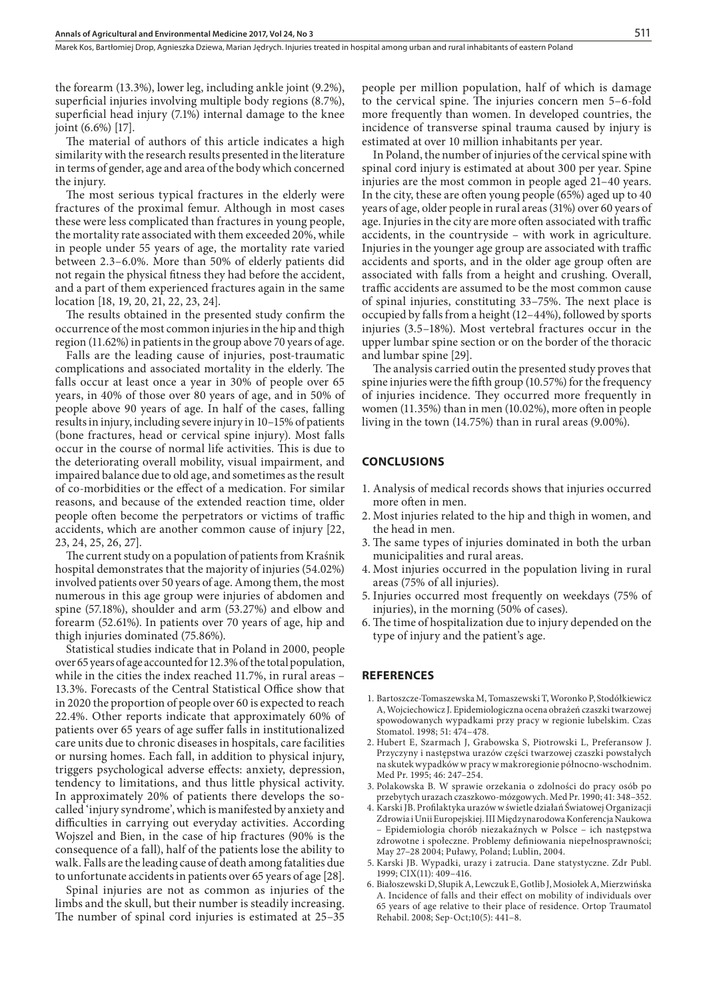Marek Kos, Bartłomiej Drop, Agnieszka Dziewa, Marian Jędrych . Injuries treated in hospital among urban and rural inhabitants of eastern Poland

the forearm (13.3%), lower leg, including ankle joint (9.2%), superficial injuries involving multiple body regions (8.7%), superficial head injury (7.1%) internal damage to the knee joint (6.6%) [17].

The material of authors of this article indicates a high similarity with the research results presented in the literature in terms of gender, age and area of the body which concerned the injury.

The most serious typical fractures in the elderly were fractures of the proximal femur. Although in most cases these were less complicated than fractures in young people, the mortality rate associated with them exceeded 20%, while in people under 55 years of age, the mortality rate varied between 2.3–6.0%. More than 50% of elderly patients did not regain the physical fitness they had before the accident, and a part of them experienced fractures again in the same location [18, 19, 20, 21, 22, 23, 24].

The results obtained in the presented study confirm the occurrence of the most common injuries in the hip and thigh region (11.62%) in patients in the group above 70 years of age.

Falls are the leading cause of injuries, post-traumatic complications and associated mortality in the elderly. The falls occur at least once a year in 30% of people over 65 years, in 40% of those over 80 years of age, and in 50% of people above 90 years of age. In half of the cases, falling results in injury, including severe injury in 10–15% of patients (bone fractures, head or cervical spine injury). Most falls occur in the course of normal life activities. This is due to the deteriorating overall mobility, visual impairment, and impaired balance due to old age, and sometimes as the result of co-morbidities or the effect of a medication. For similar reasons, and because of the extended reaction time, older people often become the perpetrators or victims of traffic accidents, which are another common cause of injury [22, 23, 24, 25, 26, 27].

The current study on a population of patients from Kraśnik hospital demonstrates that the majority of injuries (54.02%) involved patients over 50 years of age. Among them, the most numerous in this age group were injuries of abdomen and spine (57.18%), shoulder and arm (53.27%) and elbow and forearm (52.61%). In patients over 70 years of age, hip and thigh injuries dominated (75.86%).

Statistical studies indicate that in Poland in 2000, people over 65 years of age accounted for 12.3% of the total population, while in the cities the index reached 11.7%, in rural areas – 13.3%. Forecasts of the Central Statistical Office show that in 2020 the proportion of people over 60 is expected to reach 22.4%. Other reports indicate that approximately 60% of patients over 65 years of age suffer falls in institutionalized care units due to chronic diseases in hospitals, care facilities or nursing homes. Each fall, in addition to physical injury, triggers psychological adverse effects: anxiety, depression, tendency to limitations, and thus little physical activity. In approximately 20% of patients there develops the socalled 'injury syndrome', which is manifested by anxiety and difficulties in carrying out everyday activities. According Wojszel and Bien, in the case of hip fractures (90% is the consequence of a fall), half of the patients lose the ability to walk. Falls are the leading cause of death among fatalities due to unfortunate accidents in patients over 65 years of age [28].

Spinal injuries are not as common as injuries of the limbs and the skull, but their number is steadily increasing. The number of spinal cord injuries is estimated at 25–35

people per million population, half of which is damage to the cervical spine. The injuries concern men 5–6-fold more frequently than women. In developed countries, the incidence of transverse spinal trauma caused by injury is estimated at over 10 million inhabitants per year.

In Poland, the number of injuries of the cervical spine with spinal cord injury is estimated at about 300 per year. Spine injuries are the most common in people aged 21–40 years. In the city, these are often young people (65%) aged up to 40 years of age, older people in rural areas (31%) over 60 years of age. Injuries in the city are more often associated with traffic accidents, in the countryside – with work in agriculture. Injuries in the younger age group are associated with traffic accidents and sports, and in the older age group often are associated with falls from a height and crushing. Overall, traffic accidents are assumed to be the most common cause of spinal injuries, constituting 33–75%. The next place is occupied by falls from a height (12–44%), followed by sports injuries (3.5–18%). Most vertebral fractures occur in the upper lumbar spine section or on the border of the thoracic and lumbar spine [29].

The analysis carried outin the presented study proves that spine injuries were the fifth group (10.57%) for the frequency of injuries incidence. They occurred more frequently in women (11.35%) than in men (10.02%), more often in people living in the town (14.75%) than in rural areas (9.00%).

#### **CONCLUSIONS**

- 1. Analysis of medical records shows that injuries occurred more often in men.
- 2. Most injuries related to the hip and thigh in women, and the head in men.
- 3. The same types of injuries dominated in both the urban municipalities and rural areas.
- 4. Most injuries occurred in the population living in rural areas (75% of all injuries).
- 5. Injuries occurred most frequently on weekdays (75% of injuries), in the morning (50% of cases).
- 6. The time of hospitalization due to injury depended on the type of injury and the patient's age.

### **REFERENCES**

- 1. Bartoszcze-Tomaszewska M, Tomaszewski T, Woronko P, Stodółkiewicz A, Wojciechowicz J. Epidemiologiczna ocena obrażeń czaszki twarzowej spowodowanych wypadkami przy pracy w regionie lubelskim. Czas Stomatol. 1998; 51: 474–478.
- 2. Hubert E, Szarmach J, Grabowska S, Piotrowski L, Preferansow J. Przyczyny i następstwa urazów części twarzowej czaszki powstałych na skutek wypadków w pracy w makroregionie północno-wschodnim. Med Pr. 1995; 46: 247–254.
- 3. Polakowska B. W sprawie orzekania o zdolności do pracy osób po przebytych urazach czaszkowo-mózgowych. Med Pr. 1990; 41: 348–352.
- 4. Karski JB. Profilaktyka urazów w świetle działań Światowej Organizacji Zdrowia i Unii Europejskiej. III Międzynarodowa Konferencja Naukowa – Epidemiologia chorób niezakaźnych w Polsce – ich następstwa zdrowotne i społeczne. Problemy definiowania niepełnosprawności; May 27–28 2004; Puławy, Poland; Lublin, 2004.
- 5. Karski JB. Wypadki, urazy i zatrucia. Dane statystyczne. Zdr Publ. 1999; CIX(11): 409–416.
- 6. Białoszewski D, Słupik A, Lewczuk E, Gotlib J, Mosiołek A, Mierzwińska A. Incidence of falls and their effect on mobility of individuals over 65 years of age relative to their place of residence. Ortop Traumatol Rehabil. 2008; Sep-Oct;10(5): 441–8.